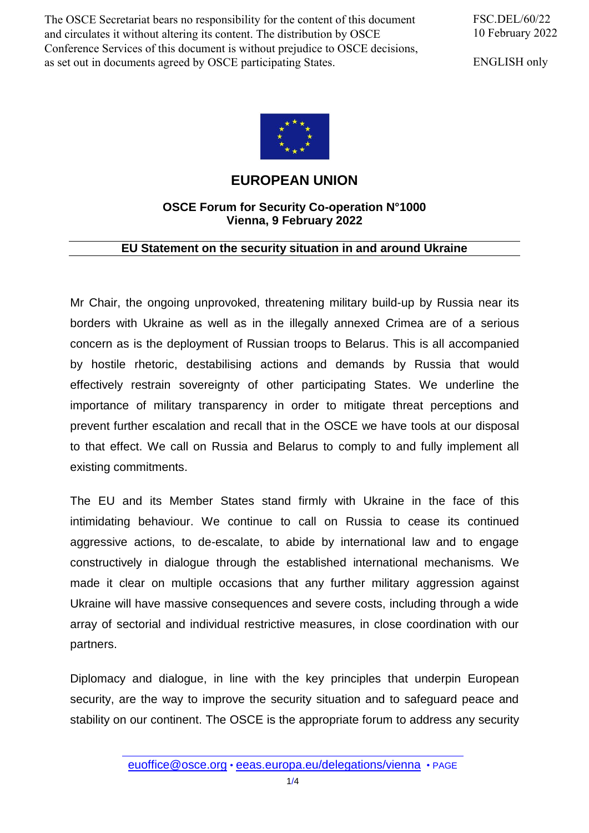The OSCE Secretariat bears no responsibility for the content of this document and circulates it without altering its content. The distribution by OSCE Conference Services of this document is without prejudice to OSCE decisions, as set out in documents agreed by OSCE participating States.

FSC.DEL/60/22 10 February 2022

ENGLISH only



## **EUROPEAN UNION**

## **OSCE Forum for Security Co-operation N°1000 Vienna, 9 February 2022**

## **EU Statement on the security situation in and around Ukraine**

Mr Chair, the ongoing unprovoked, threatening military build-up by Russia near its borders with Ukraine as well as in the illegally annexed Crimea are of a serious concern as is the deployment of Russian troops to Belarus. This is all accompanied by hostile rhetoric, destabilising actions and demands by Russia that would effectively restrain sovereignty of other participating States. We underline the importance of military transparency in order to mitigate threat perceptions and prevent further escalation and recall that in the OSCE we have tools at our disposal to that effect. We call on Russia and Belarus to comply to and fully implement all existing commitments.

The EU and its Member States stand firmly with Ukraine in the face of this intimidating behaviour. We continue to call on Russia to cease its continued aggressive actions, to de-escalate, to abide by international law and to engage constructively in dialogue through the established international mechanisms. We made it clear on multiple occasions that any further military aggression against Ukraine will have massive consequences and severe costs, including through a wide array of sectorial and individual restrictive measures, in close coordination with our partners.

Diplomacy and dialogue, in line with the key principles that underpin European security, are the way to improve the security situation and to safeguard peace and stability on our continent. The OSCE is the appropriate forum to address any security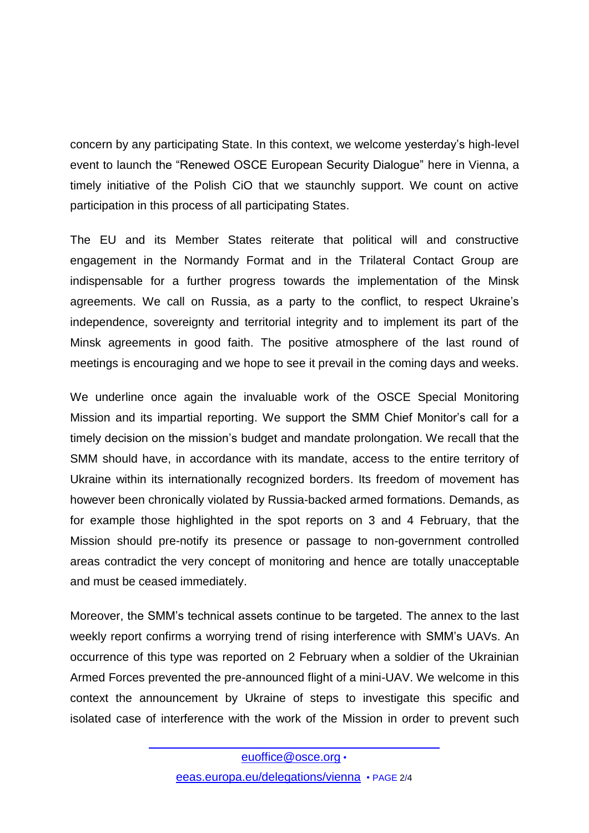concern by any participating State. In this context, we welcome yesterday's high-level event to launch the "Renewed OSCE European Security Dialogue" here in Vienna, a timely initiative of the Polish CiO that we staunchly support. We count on active participation in this process of all participating States.

The EU and its Member States reiterate that political will and constructive engagement in the Normandy Format and in the Trilateral Contact Group are indispensable for a further progress towards the implementation of the Minsk agreements. We call on Russia, as a party to the conflict, to respect Ukraine's independence, sovereignty and territorial integrity and to implement its part of the Minsk agreements in good faith. The positive atmosphere of the last round of meetings is encouraging and we hope to see it prevail in the coming days and weeks.

We underline once again the invaluable work of the OSCE Special Monitoring Mission and its impartial reporting. We support the SMM Chief Monitor's call for a timely decision on the mission's budget and mandate prolongation. We recall that the SMM should have, in accordance with its mandate, access to the entire territory of Ukraine within its internationally recognized borders. Its freedom of movement has however been chronically violated by Russia-backed armed formations. Demands, as for example those highlighted in the spot reports on 3 and 4 February, that the Mission should pre-notify its presence or passage to non-government controlled areas contradict the very concept of monitoring and hence are totally unacceptable and must be ceased immediately.

Moreover, the SMM's technical assets continue to be targeted. The annex to the last weekly report confirms a worrying trend of rising interference with SMM's UAVs. An occurrence of this type was reported on 2 February when a soldier of the Ukrainian Armed Forces prevented the pre-announced flight of a mini-UAV. We welcome in this context the announcement by Ukraine of steps to investigate this specific and isolated case of interference with the work of the Mission in order to prevent such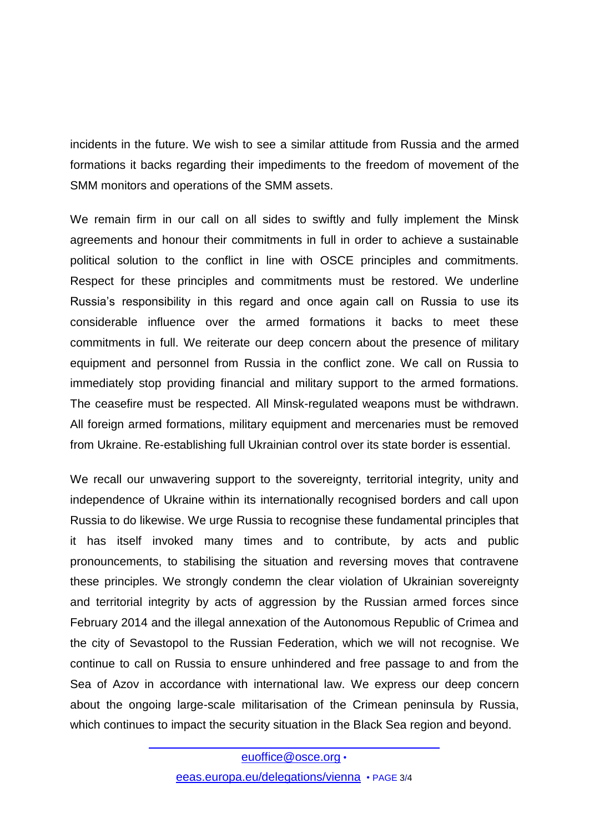incidents in the future. We wish to see a similar attitude from Russia and the armed formations it backs regarding their impediments to the freedom of movement of the SMM monitors and operations of the SMM assets.

We remain firm in our call on all sides to swiftly and fully implement the Minsk agreements and honour their commitments in full in order to achieve a sustainable political solution to the conflict in line with OSCE principles and commitments. Respect for these principles and commitments must be restored. We underline Russia's responsibility in this regard and once again call on Russia to use its considerable influence over the armed formations it backs to meet these commitments in full. We reiterate our deep concern about the presence of military equipment and personnel from Russia in the conflict zone. We call on Russia to immediately stop providing financial and military support to the armed formations. The ceasefire must be respected. All Minsk-regulated weapons must be withdrawn. All foreign armed formations, military equipment and mercenaries must be removed from Ukraine. Re-establishing full Ukrainian control over its state border is essential.

We recall our unwavering support to the sovereignty, territorial integrity, unity and independence of Ukraine within its internationally recognised borders and call upon Russia to do likewise. We urge Russia to recognise these fundamental principles that it has itself invoked many times and to contribute, by acts and public pronouncements, to stabilising the situation and reversing moves that contravene these principles. We strongly condemn the clear violation of Ukrainian sovereignty and territorial integrity by acts of aggression by the Russian armed forces since February 2014 and the illegal annexation of the Autonomous Republic of Crimea and the city of Sevastopol to the Russian Federation, which we will not recognise. We continue to call on Russia to ensure unhindered and free passage to and from the Sea of Azov in accordance with international law. We express our deep concern about the ongoing large-scale militarisation of the Crimean peninsula by Russia, which continues to impact the security situation in the Black Sea region and beyond.